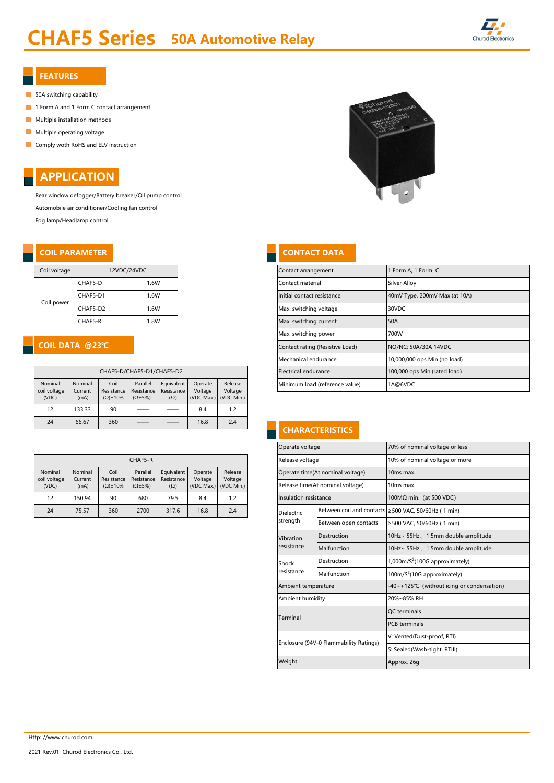# **CHAF5 Series** 50A Automotive Relay



#### FEATURES

- 50A switching capability
- 1 Form A and 1 Form C contact arrangement
- **Multiple installation methods**
- **Multiple operating voltage**
- **Comply woth RoHS and ELV instruction**

## APPLICATION

Rear window defogger/Battery breaker/Oil pump control Automobile air conditioner/Cooling fan control Fog lamp/Headlamp control

#### **COIL PARAMETER COIL PARAMETER**

| Coil voltage |          | 12VDC/24VDC |  |  |  |
|--------------|----------|-------------|--|--|--|
|              | CHAF5-D  | 1.6W        |  |  |  |
| Coil power   | CHAF5-D1 | 1.6W        |  |  |  |
|              | CHAF5-D2 | 1.6W        |  |  |  |
|              | CHAF5-R  | 1.8W        |  |  |  |

### COIL DATA @23℃

|                                  | CHAF5-D/CHAF5-D1/CHAF5-D2  |                                           |                                              |                                        |                                  |                                  |  |  |  |  |  |  |
|----------------------------------|----------------------------|-------------------------------------------|----------------------------------------------|----------------------------------------|----------------------------------|----------------------------------|--|--|--|--|--|--|
| Nominal<br>coil voltage<br>(VDC) | Nominal<br>Current<br>(mA) | Coil<br>Resistance<br>$(\Omega) \pm 10\%$ | Parallel<br>Resistance<br>$(\Omega \pm 5\%)$ | Equivalent<br>Resistance<br>$(\Omega)$ | Operate<br>Voltage<br>(VDC Max.) | Release<br>Voltage<br>(VDC Min.) |  |  |  |  |  |  |
| 12                               | 133.33                     | 90                                        |                                              |                                        | 8.4                              | 1.2                              |  |  |  |  |  |  |
| 24                               | 66.67                      | 360                                       |                                              |                                        | 16.8                             | 2.4                              |  |  |  |  |  |  |

| CHAF5-R |                         |                    |                     |                        |                          |         |                                                        | Release voltage |                                                                   | 10% of nominal voltage or        |                                |
|---------|-------------------------|--------------------|---------------------|------------------------|--------------------------|---------|--------------------------------------------------------|-----------------|-------------------------------------------------------------------|----------------------------------|--------------------------------|
|         | Nominal<br>coil voltage | Nominal<br>Current | Coil<br>Resistance  | Parallel<br>Resistance | Equivalent<br>Resistance | Operate | Release<br>Voltage<br>Voltage<br>(VDC Max.) (VDC Min.) |                 |                                                                   | Operate time(At nominal voltage) | 10 <sub>ms</sub> max.          |
|         | (VDC)                   | (mA)               | $(\Omega) \pm 10\%$ | $(\Omega \pm 5\%)$     | $(\Omega)$               |         |                                                        |                 |                                                                   | Release time(At nominal voltage) | 10ms max.                      |
|         | 12                      | 150.94             | 90                  | 680                    | 79.5                     | 8.4     | 1.2                                                    |                 | Insulation resistance                                             |                                  | $100M\Omega$ min. (at 500 VDC) |
|         | 24                      | 75.57              | 360                 | 2700                   | 317.6                    | 16.8    | 2.4                                                    |                 | Between coil and contacts ≥500 VAC, 50/60Hz (1 min)<br>Dielectric |                                  |                                |



| Coil voltage<br>12VDC/24VDC   |          |      |                                                |            |                                                                    |                                                        | Contact arrangement            | 1 Form A, 1 Form C         |                               |  |  |
|-------------------------------|----------|------|------------------------------------------------|------------|--------------------------------------------------------------------|--------------------------------------------------------|--------------------------------|----------------------------|-------------------------------|--|--|
|                               | CHAF5-D  |      | 1.6W                                           |            |                                                                    |                                                        |                                | Contact material           | Silver Alloy                  |  |  |
| Coil power                    | CHAF5-D1 |      | 1.6W                                           |            |                                                                    |                                                        |                                | Initial contact resistance | 40mV Type, 200mV Max (at 10A) |  |  |
|                               | CHAF5-D2 |      | 1.6W                                           |            |                                                                    |                                                        |                                | Max. switching voltage     | 30VDC                         |  |  |
|                               | CHAF5-R  |      | 1.8W                                           |            |                                                                    |                                                        |                                | Max. switching current     | 50A                           |  |  |
|                               |          |      |                                                |            |                                                                    |                                                        |                                | Max. switching power       | 700W                          |  |  |
| <b>COIL DATA @23℃</b>         |          |      |                                                |            |                                                                    | Contact rating (Resistive Load)                        | NO/NC: 50A/30A 14VDC           |                            |                               |  |  |
|                               |          |      |                                                |            |                                                                    |                                                        |                                | Mechanical endurance       | 10,000,000 ops Min.(no load)  |  |  |
| CHAF5-D/CHAF5-D1/CHAF5-D2     |          |      |                                                |            |                                                                    | Electrical endurance                                   | 100,000 ops Min.(rated load)   |                            |                               |  |  |
| Nominal<br>المستحقل مندالة مر | Nominal  | Coil | Parallel<br>Desistence Desistence Desistence L | Equivalent | Operate<br>$\lambda$ $\lambda$ = $\lambda$ = $\lambda$ = $\lambda$ | Release<br>$\lambda$ $l = \lambda - \lambda - \lambda$ | Minimum load (reference value) |                            | 1A@6VDC                       |  |  |

### **CHARACTERISTICS**

|            |            |            |                              |                                  |                       | 70% of nominal voltage or less                                                                                                                                             |  |  |
|------------|------------|------------|------------------------------|----------------------------------|-----------------------|----------------------------------------------------------------------------------------------------------------------------------------------------------------------------|--|--|
| CHAF5-R    |            |            |                              |                                  |                       | 10% of nominal voltage or more                                                                                                                                             |  |  |
| Equivalent | Operate    | Release    |                              |                                  |                       | 10ms max.                                                                                                                                                                  |  |  |
| $(\Omega)$ | (VDC Max.) | (VDC Min.) |                              | Release time(At nominal voltage) |                       | 10ms max.                                                                                                                                                                  |  |  |
| 79.5       | 8.4        | 1.2        |                              | Insulation resistance            |                       | 100M $\Omega$ min. (at 500 VDC)                                                                                                                                            |  |  |
| 317.6      | 16.8       | 2.4        |                              | <b>Dielectric</b>                |                       | Between coil and contacts ≥500 VAC, 50/60Hz (1 min)                                                                                                                        |  |  |
| strength   |            |            |                              |                                  | Between open contacts | ≥500 VAC, 50/60Hz (1 min)                                                                                                                                                  |  |  |
|            |            |            |                              | Vibration                        | Destruction           | 10Hz~ 55Hz., 1.5mm double amplitude                                                                                                                                        |  |  |
|            |            |            |                              | resistance                       |                       | 10Hz~ 55Hz., 1.5mm double amplitude                                                                                                                                        |  |  |
|            |            |            |                              | Shock                            | Destruction           | 1,000m/ $S^2$ (100G approximately)                                                                                                                                         |  |  |
|            |            |            |                              | resistance                       | Malfunction           | 100m/S <sup>2</sup> (10G approximated)                                                                                                                                     |  |  |
|            |            |            |                              |                                  |                       | -40~+125°C (without icing or condensation)                                                                                                                                 |  |  |
|            |            |            |                              |                                  |                       | 20%~85% RH                                                                                                                                                                 |  |  |
|            |            |            |                              |                                  |                       | OC terminals                                                                                                                                                               |  |  |
|            |            |            |                              |                                  |                       | <b>PCB</b> terminals                                                                                                                                                       |  |  |
|            |            |            |                              |                                  |                       | V: Vented(Dust-proof, RTI)                                                                                                                                                 |  |  |
|            |            |            | S: Sealed(Wash-tight, RTIII) |                                  |                       |                                                                                                                                                                            |  |  |
|            |            |            |                              | Weight                           |                       | Approx. 26g                                                                                                                                                                |  |  |
|            | Resistance | Voltage    | Voltage                      |                                  | Terminal              | Operate voltage<br>Release voltage<br>Operate time(At nominal voltage)<br>Malfunction<br>Ambient temperature<br>Ambient humidity<br>Enclosure (94V-0 Flammability Ratings) |  |  |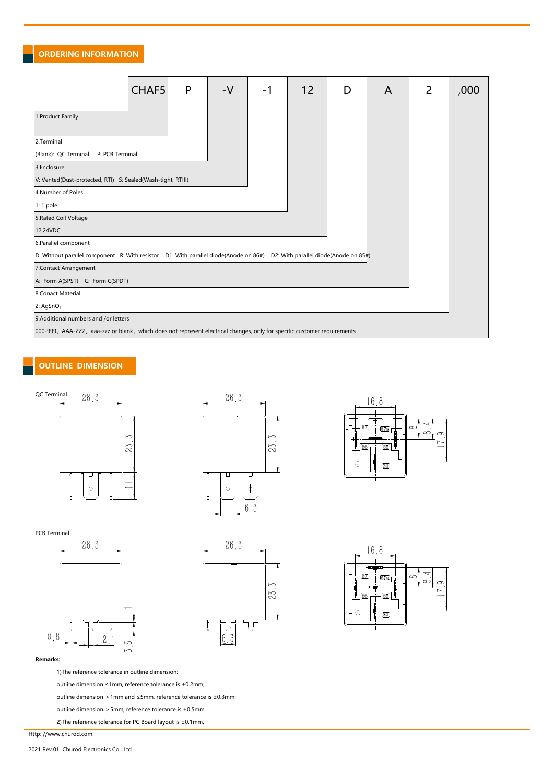ORDERING INFORMATION

|                                                                                                                            | CHAF5 | P | $-V$ | -1 | 12 | D | A | 2 | ,000 |  |  |  |
|----------------------------------------------------------------------------------------------------------------------------|-------|---|------|----|----|---|---|---|------|--|--|--|
| 1. Product Family                                                                                                          |       |   |      |    |    |   |   |   |      |  |  |  |
| 2.Terminal                                                                                                                 |       |   |      |    |    |   |   |   |      |  |  |  |
| (Blank): QC Terminal P: PCB Terminal                                                                                       |       |   |      |    |    |   |   |   |      |  |  |  |
| 3.Enclosure                                                                                                                |       |   |      |    |    |   |   |   |      |  |  |  |
| V: Vented(Dust-protected, RTI) S: Sealed(Wash-tight, RTIII)                                                                |       |   |      |    |    |   |   |   |      |  |  |  |
| 4.Number of Poles                                                                                                          |       |   |      |    |    |   |   |   |      |  |  |  |
| 1: 1 pole                                                                                                                  |       |   |      |    |    |   |   |   |      |  |  |  |
| 5. Rated Coil Voltage                                                                                                      |       |   |      |    |    |   |   |   |      |  |  |  |
| 12,24VDC                                                                                                                   |       |   |      |    |    |   |   |   |      |  |  |  |
| 6.Parallel component                                                                                                       |       |   |      |    |    |   |   |   |      |  |  |  |
| D: Without parallel component R: With resistor D1: With parallel diode(Anode on 86#) D2: With parallel diode(Anode on 85#) |       |   |      |    |    |   |   |   |      |  |  |  |
| 7. Contact Arrangement                                                                                                     |       |   |      |    |    |   |   |   |      |  |  |  |
| A: Form A(SPST) C: Form C(SPDT)                                                                                            |       |   |      |    |    |   |   |   |      |  |  |  |
| 8.Conact Material                                                                                                          |       |   |      |    |    |   |   |   |      |  |  |  |
| 2: $AgSnO2$                                                                                                                |       |   |      |    |    |   |   |   |      |  |  |  |
| 9.Additional numbers and /or letters                                                                                       |       |   |      |    |    |   |   |   |      |  |  |  |
| 000-999, AAA-ZZZ, aaa-zzz or blank, which does not represent electrical changes, only for specific customer requirements   |       |   |      |    |    |   |   |   |      |  |  |  |

### OUTLINE DIMENSION







#### PCB Terminal







Remarks:

1)The reference tolerance in outline dimension:

outline dimension ≤1mm, reference tolerance is ±0.2mm;

outline dimension >1mm and ≤5mm, reference tolerance is ±0.3mm;

outline dimension >5mm, reference tolerance is ±0.5mm.

2)The reference tolerance for PC Board layout is ±0.1mm.

Http: //www.churod.com